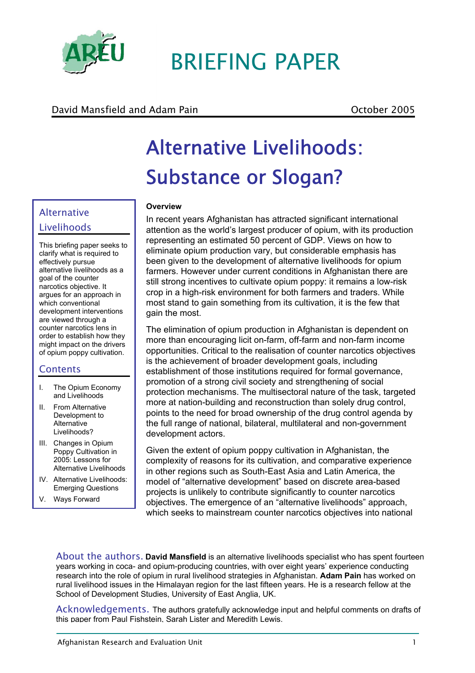

# BRIEFING PAPER

# David Mansfield and Adam Pain **David Strutter and Adam Pain** Corporation Corporation Corporation October 2005

# Alternative Livelihoods: Substance or Slogan?

## **Overview**

In recent years Afghanistan has attracted significant international attention as the world's largest producer of opium, with its production representing an estimated 50 percent of GDP. Views on how to eliminate opium production vary, but considerable emphasis has been given to the development of alternative livelihoods for opium farmers. However under current conditions in Afghanistan there are still strong incentives to cultivate opium poppy: it remains a low-risk crop in a high-risk environment for both farmers and traders. While most stand to gain something from its cultivation, it is the few that gain the most.

The elimination of opium production in Afghanistan is dependent on more than encouraging licit on-farm, off-farm and non-farm income opportunities. Critical to the realisation of counter narcotics objectives is the achievement of broader development goals, including establishment of those institutions required for formal governance, promotion of a strong civil society and strengthening of social protection mechanisms. The multisectoral nature of the task, targeted more at nation-building and reconstruction than solely drug control, points to the need for broad ownership of the drug control agenda by the full range of national, bilateral, multilateral and non-government development actors.

Given the extent of opium poppy cultivation in Afghanistan, the complexity of reasons for its cultivation, and comparative experience in other regions such as South-East Asia and Latin America, the model of "alternative development" based on discrete area-based projects is unlikely to contribute significantly to counter narcotics objectives. The emergence of an "alternative livelihoods" approach, which seeks to mainstream counter narcotics objectives into national

About the authors. **David Mansfield** is an alternative livelihoods specialist who has spent fourteen years working in coca- and opium-producing countries, with over eight years' experience conducting research into the role of opium in rural livelihood strategies in Afghanistan. **Adam Pain** has worked on rural livelihood issues in the Himalayan region for the last fifteen years. He is a research fellow at the School of Development Studies, University of East Anglia, UK.

Acknowledgements. The authors gratefully acknowledge input and helpful comments on drafts of this paper from Paul Fishstein, Sarah Lister and Meredith Lewis.

# Alternative Livelihoods

This briefing paper seeks to clarify what is required to effectively pursue alternative livelihoods as a goal of the counter narcotics objective. It argues for an approach in which conventional development interventions are viewed through a counter narcotics lens in order to establish how they might impact on the drivers of opium poppy cultivation.

# **Contents**

- I. The Opium Economy and Livelihoods
- II. From Alternative Development to Alternative Livelihoods?
- III. Changes in Opium Poppy Cultivation in 2005: Lessons for Alternative Livelihoods
- IV. Alternative Livelihoods: Emerging Questions
- V. Ways Forward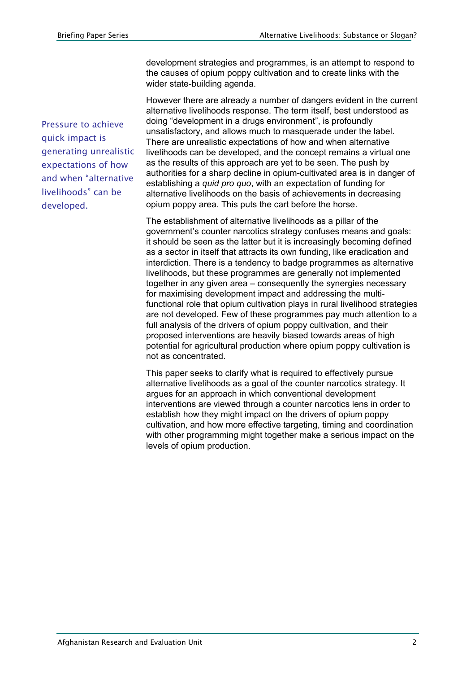Pressure to achieve quick impact is generating unrealistic expectations of how and when "alternative livelihoods" can be developed.

development strategies and programmes, is an attempt to respond to the causes of opium poppy cultivation and to create links with the wider state-building agenda.

However there are already a number of dangers evident in the current alternative livelihoods response. The term itself, best understood as doing "development in a drugs environment", is profoundly unsatisfactory, and allows much to masquerade under the label. There are unrealistic expectations of how and when alternative livelihoods can be developed, and the concept remains a virtual one as the results of this approach are yet to be seen. The push by authorities for a sharp decline in opium-cultivated area is in danger of establishing a *quid pro quo*, with an expectation of funding for alternative livelihoods on the basis of achievements in decreasing opium poppy area. This puts the cart before the horse.

The establishment of alternative livelihoods as a pillar of the government's counter narcotics strategy confuses means and goals: it should be seen as the latter but it is increasingly becoming defined as a sector in itself that attracts its own funding, like eradication and interdiction. There is a tendency to badge programmes as alternative livelihoods, but these programmes are generally not implemented together in any given area – consequently the synergies necessary for maximising development impact and addressing the multifunctional role that opium cultivation plays in rural livelihood strategies are not developed. Few of these programmes pay much attention to a full analysis of the drivers of opium poppy cultivation, and their proposed interventions are heavily biased towards areas of high potential for agricultural production where opium poppy cultivation is not as concentrated.

This paper seeks to clarify what is required to effectively pursue alternative livelihoods as a goal of the counter narcotics strategy. It argues for an approach in which conventional development interventions are viewed through a counter narcotics lens in order to establish how they might impact on the drivers of opium poppy cultivation, and how more effective targeting, timing and coordination with other programming might together make a serious impact on the levels of opium production.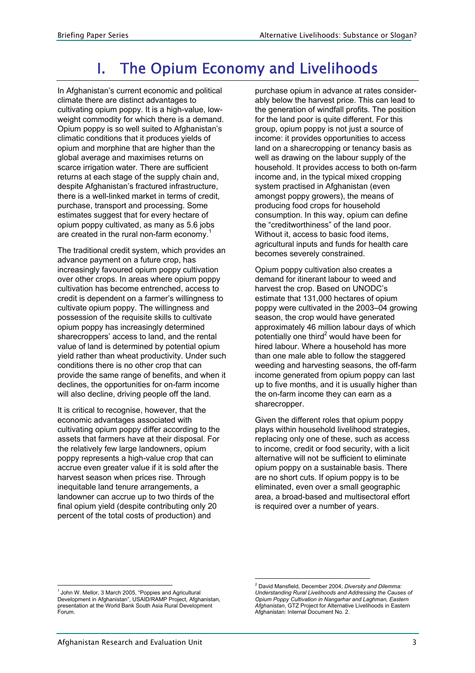# I. The Opium Economy and Livelihoods

In Afghanistan's current economic and political climate there are distinct advantages to cultivating opium poppy. It is a high-value, lowweight commodity for which there is a demand. Opium poppy is so well suited to Afghanistan's climatic conditions that it produces yields of opium and morphine that are higher than the global average and maximises returns on scarce irrigation water. There are sufficient returns at each stage of the supply chain and, despite Afghanistan's fractured infrastructure, there is a well-linked market in terms of credit, purchase, transport and processing. Some estimates suggest that for every hectare of opium poppy cultivated, as many as 5.6 jobs are created in the rural non-farm economy.<sup>1</sup>

The traditional credit system, which provides an advance payment on a future crop, has increasingly favoured opium poppy cultivation over other crops. In areas where opium poppy cultivation has become entrenched, access to credit is dependent on a farmer's willingness to cultivate opium poppy. The willingness and possession of the requisite skills to cultivate opium poppy has increasingly determined sharecroppers' access to land, and the rental value of land is determined by potential opium yield rather than wheat productivity. Under such conditions there is no other crop that can provide the same range of benefits, and when it declines, the opportunities for on-farm income will also decline, driving people off the land.

It is critical to recognise, however, that the economic advantages associated with cultivating opium poppy differ according to the assets that farmers have at their disposal. For the relatively few large landowners, opium poppy represents a high-value crop that can accrue even greater value if it is sold after the harvest season when prices rise. Through inequitable land tenure arrangements, a landowner can accrue up to two thirds of the final opium yield (despite contributing only 20 percent of the total costs of production) and

purchase opium in advance at rates considerably below the harvest price. This can lead to the generation of windfall profits. The position for the land poor is quite different. For this group, opium poppy is not just a source of income: it provides opportunities to access land on a sharecropping or tenancy basis as well as drawing on the labour supply of the household. It provides access to both on-farm income and, in the typical mixed cropping system practised in Afghanistan (even amongst poppy growers), the means of producing food crops for household consumption. In this way, opium can define the "creditworthiness" of the land poor. Without it, access to basic food items, agricultural inputs and funds for health care becomes severely constrained.

Opium poppy cultivation also creates a demand for itinerant labour to weed and harvest the crop. Based on UNODC's estimate that 131,000 hectares of opium poppy were cultivated in the 2003–04 growing season, the crop would have generated approximately 46 million labour days of which potentially one third<sup>2</sup> would have been for hired labour. Where a household has more than one male able to follow the staggered weeding and harvesting seasons, the off-farm income generated from opium poppy can last up to five months, and it is usually higher than the on-farm income they can earn as a sharecropper.

Given the different roles that opium poppy plays within household livelihood strategies, replacing only one of these, such as access to income, credit or food security, with a licit alternative will not be sufficient to eliminate opium poppy on a sustainable basis. There are no short cuts. If opium poppy is to be eliminated, even over a small geographic area, a broad-based and multisectoral effort is required over a number of years.

 $\overline{a}$ 1 John W. Mellor, 3 March 2005, "Poppies and Agricultural Development in Afghanistan", USAID/RAMP Project, Afghanistan, presentation at the World Bank South Asia Rural Development Forum.

 2 David Mansfield, December 2004, *Diversity and Dilemma: Understanding Rural Livelihoods and Addressing the Causes of Opium Poppy Cultivation in Nangarhar and Laghman, Eastern Afghanistan*, GTZ Project for Alternative Livelihoods in Eastern Afghanistan: Internal Document No. 2.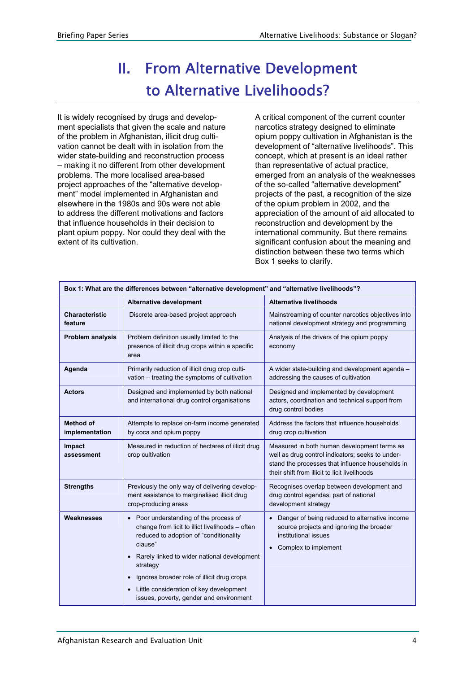# II. From Alternative Development to Alternative Livelihoods?

It is widely recognised by drugs and development specialists that given the scale and nature of the problem in Afghanistan, illicit drug cultivation cannot be dealt with in isolation from the wider state-building and reconstruction process – making it no different from other development problems. The more localised area-based project approaches of the "alternative development" model implemented in Afghanistan and elsewhere in the 1980s and 90s were not able to address the different motivations and factors that influence households in their decision to plant opium poppy. Nor could they deal with the extent of its cultivation.

A critical component of the current counter narcotics strategy designed to eliminate opium poppy cultivation in Afghanistan is the development of "alternative livelihoods". This concept, which at present is an ideal rather than representative of actual practice, emerged from an analysis of the weaknesses of the so-called "alternative development" projects of the past, a recognition of the size of the opium problem in 2002, and the appreciation of the amount of aid allocated to reconstruction and development by the international community. But there remains significant confusion about the meaning and distinction between these two terms which Box 1 seeks to clarify.

| Box 1: What are the differences between "alternative development" and "alternative livelihoods"? |                                                                                                                                                                                                                                                                                                                                                            |                                                                                                                                                                                                      |
|--------------------------------------------------------------------------------------------------|------------------------------------------------------------------------------------------------------------------------------------------------------------------------------------------------------------------------------------------------------------------------------------------------------------------------------------------------------------|------------------------------------------------------------------------------------------------------------------------------------------------------------------------------------------------------|
|                                                                                                  | <b>Alternative development</b>                                                                                                                                                                                                                                                                                                                             | <b>Alternative livelihoods</b>                                                                                                                                                                       |
| <b>Characteristic</b><br>feature                                                                 | Discrete area-based project approach                                                                                                                                                                                                                                                                                                                       | Mainstreaming of counter narcotics objectives into<br>national development strategy and programming                                                                                                  |
| Problem analysis                                                                                 | Problem definition usually limited to the<br>presence of illicit drug crops within a specific<br>area                                                                                                                                                                                                                                                      | Analysis of the drivers of the opium poppy<br>economy                                                                                                                                                |
| Agenda                                                                                           | Primarily reduction of illicit drug crop culti-<br>vation - treating the symptoms of cultivation                                                                                                                                                                                                                                                           | A wider state-building and development agenda -<br>addressing the causes of cultivation                                                                                                              |
| <b>Actors</b>                                                                                    | Designed and implemented by both national<br>and international drug control organisations                                                                                                                                                                                                                                                                  | Designed and implemented by development<br>actors, coordination and technical support from<br>drug control bodies                                                                                    |
| <b>Method of</b><br>implementation                                                               | Attempts to replace on-farm income generated<br>by coca and opium poppy                                                                                                                                                                                                                                                                                    | Address the factors that influence households'<br>drug crop cultivation                                                                                                                              |
| Impact<br>assessment                                                                             | Measured in reduction of hectares of illicit drug<br>crop cultivation                                                                                                                                                                                                                                                                                      | Measured in both human development terms as<br>well as drug control indicators; seeks to under-<br>stand the processes that influence households in<br>their shift from illicit to licit livelihoods |
| <b>Strengths</b>                                                                                 | Previously the only way of delivering develop-<br>ment assistance to marginalised illicit drug<br>crop-producing areas                                                                                                                                                                                                                                     | Recognises overlap between development and<br>drug control agendas; part of national<br>development strategy                                                                                         |
| Weaknesses                                                                                       | • Poor understanding of the process of<br>change from licit to illict livelihoods - often<br>reduced to adoption of "conditionality<br>clause"<br>Rarely linked to wider national development<br>strategy<br>Ignores broader role of illicit drug crops<br>$\bullet$<br>Little consideration of key development<br>issues, poverty, gender and environment | Danger of being reduced to alternative income<br>source projects and ignoring the broader<br>institutional issues<br>Complex to implement<br>$\bullet$                                               |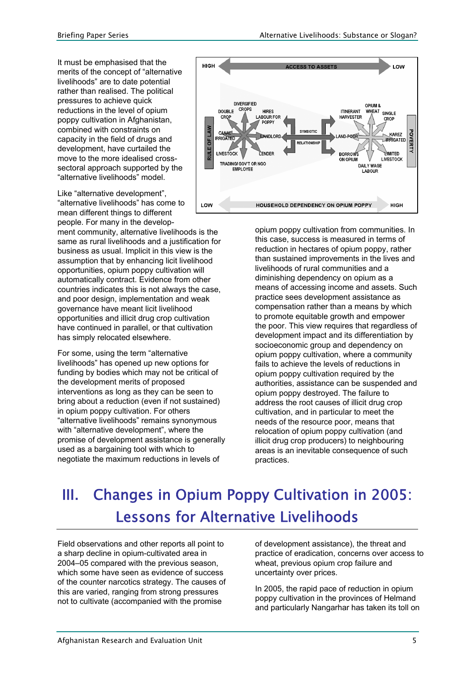It must be emphasised that the merits of the concept of "alternative livelihoods" are to date potential rather than realised. The political pressures to achieve quick reductions in the level of opium poppy cultivation in Afghanistan, combined with constraints on capacity in the field of drugs and development, have curtailed the move to the more idealised crosssectoral approach supported by the "alternative livelihoods" model.

Like "alternative development", "alternative livelihoods" has come to mean different things to different people. For many in the develop-

ment community, alternative livelihoods is the same as rural livelihoods and a justification for business as usual. Implicit in this view is the assumption that by enhancing licit livelihood opportunities, opium poppy cultivation will automatically contract. Evidence from other countries indicates this is not always the case, and poor design, implementation and weak governance have meant licit livelihood opportunities and illicit drug crop cultivation have continued in parallel, or that cultivation has simply relocated elsewhere.

For some, using the term "alternative livelihoods" has opened up new options for funding by bodies which may not be critical of the development merits of proposed interventions as long as they can be seen to bring about a reduction (even if not sustained) in opium poppy cultivation. For others "alternative livelihoods" remains synonymous with "alternative development", where the promise of development assistance is generally used as a bargaining tool with which to negotiate the maximum reductions in levels of



opium poppy cultivation from communities. In this case, success is measured in terms of reduction in hectares of opium poppy, rather than sustained improvements in the lives and livelihoods of rural communities and a diminishing dependency on opium as a means of accessing income and assets. Such practice sees development assistance as compensation rather than a means by which to promote equitable growth and empower the poor. This view requires that regardless of development impact and its differentiation by socioeconomic group and dependency on opium poppy cultivation, where a community fails to achieve the levels of reductions in opium poppy cultivation required by the authorities, assistance can be suspended and opium poppy destroyed. The failure to address the root causes of illicit drug crop cultivation, and in particular to meet the needs of the resource poor, means that relocation of opium poppy cultivation (and illicit drug crop producers) to neighbouring areas is an inevitable consequence of such practices.

# III. Changes in Opium Poppy Cultivation in 2005: Lessons for Alternative Livelihoods

Field observations and other reports all point to a sharp decline in opium-cultivated area in 2004–05 compared with the previous season, which some have seen as evidence of success of the counter narcotics strategy. The causes of this are varied, ranging from strong pressures not to cultivate (accompanied with the promise

of development assistance), the threat and practice of eradication, concerns over access to wheat, previous opium crop failure and uncertainty over prices.

In 2005, the rapid pace of reduction in opium poppy cultivation in the provinces of Helmand and particularly Nangarhar has taken its toll on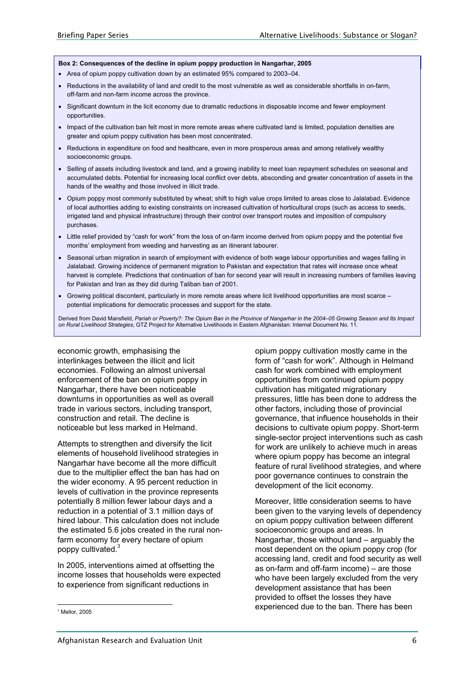#### **Box 2: Consequences of the decline in opium poppy production in Nangarhar, 2005**

- Area of opium poppy cultivation down by an estimated 95% compared to 2003–04.
- Reductions in the availability of land and credit to the most vulnerable as well as considerable shortfalls in on-farm, off-farm and non-farm income across the province.
- Significant downturn in the licit economy due to dramatic reductions in disposable income and fewer employment opportunities.
- Impact of the cultivation ban felt most in more remote areas where cultivated land is limited, population densities are greater and opium poppy cultivation has been most concentrated.
- Reductions in expenditure on food and healthcare, even in more prosperous areas and among relatively wealthy socioeconomic groups.
- Selling of assets including livestock and land, and a growing inability to meet loan repayment schedules on seasonal and accumulated debts. Potential for increasing local conflict over debts, absconding and greater concentration of assets in the hands of the wealthy and those involved in illicit trade.
- Opium poppy most commonly substituted by wheat; shift to high value crops limited to areas close to Jalalabad. Evidence of local authorities adding to existing constraints on increased cultivation of horticultural crops (such as access to seeds, irrigated land and physical infrastructure) through their control over transport routes and imposition of compulsory purchases.
- Little relief provided by "cash for work" from the loss of on-farm income derived from opium poppy and the potential five months' employment from weeding and harvesting as an itinerant labourer.
- Seasonal urban migration in search of employment with evidence of both wage labour opportunities and wages falling in Jalalabad. Growing incidence of permanent migration to Pakistan and expectation that rates will increase once wheat harvest is complete. Predictions that continuation of ban for second year will result in increasing numbers of families leaving for Pakistan and Iran as they did during Taliban ban of 2001.
- Growing political discontent, particularly in more remote areas where licit livelihood opportunities are most scarce potential implications for democratic processes and support for the state.

Derived from David Mansfield, *Pariah or Poverty?: The Opium Ban in the Province of Nangarhar in the 2004–05 Growing Season and Its Impact on Rural Livelihood Strategies*, GTZ Project for Alternative Livelihoods in Eastern Afghanistan: Internal Document No. 11.

economic growth, emphasising the interlinkages between the illicit and licit economies. Following an almost universal enforcement of the ban on opium poppy in Nangarhar, there have been noticeable downturns in opportunities as well as overall trade in various sectors, including transport, construction and retail. The decline is noticeable but less marked in Helmand.

Attempts to strengthen and diversify the licit elements of household livelihood strategies in Nangarhar have become all the more difficult due to the multiplier effect the ban has had on the wider economy. A 95 percent reduction in levels of cultivation in the province represents potentially 8 million fewer labour days and a reduction in a potential of 3.1 million days of hired labour. This calculation does not include the estimated 5.6 jobs created in the rural nonfarm economy for every hectare of opium poppy cultivated.<sup>3</sup>

In 2005, interventions aimed at offsetting the income losses that households were expected to experience from significant reductions in

opium poppy cultivation mostly came in the form of "cash for work". Although in Helmand cash for work combined with employment opportunities from continued opium poppy cultivation has mitigated migrationary pressures, little has been done to address the other factors, including those of provincial governance, that influence households in their decisions to cultivate opium poppy. Short-term single-sector project interventions such as cash for work are unlikely to achieve much in areas where opium poppy has become an integral feature of rural livelihood strategies, and where poor governance continues to constrain the development of the licit economy.

Moreover, little consideration seems to have been given to the varying levels of dependency on opium poppy cultivation between different socioeconomic groups and areas. In Nangarhar, those without land – arguably the most dependent on the opium poppy crop (for accessing land, credit and food security as well as on-farm and off-farm income) – are those who have been largely excluded from the very development assistance that has been provided to offset the losses they have experienced due to the ban. There has been

  $3$  Mellor, 2005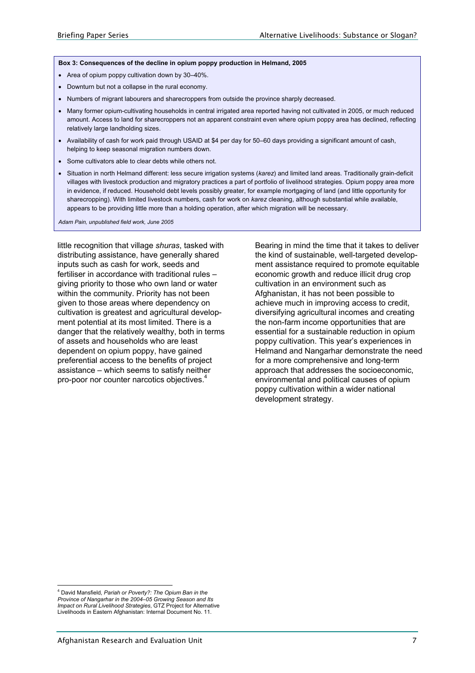#### **Box 3: Consequences of the decline in opium poppy production in Helmand, 2005**

- Area of opium poppy cultivation down by 30–40%.
- Downturn but not a collapse in the rural economy.
- Numbers of migrant labourers and sharecroppers from outside the province sharply decreased.
- Many former opium-cultivating households in central irrigated area reported having not cultivated in 2005, or much reduced amount. Access to land for sharecroppers not an apparent constraint even where opium poppy area has declined, reflecting relatively large landholding sizes.
- Availability of cash for work paid through USAID at \$4 per day for 50–60 days providing a significant amount of cash, helping to keep seasonal migration numbers down.
- Some cultivators able to clear debts while others not.
- Situation in north Helmand different: less secure irrigation systems (*karez*) and limited land areas. Traditionally grain-deficit villages with livestock production and migratory practices a part of portfolio of livelihood strategies. Opium poppy area more in evidence, if reduced. Household debt levels possibly greater, for example mortgaging of land (and little opportunity for sharecropping). With limited livestock numbers, cash for work on *karez* cleaning, although substantial while available, appears to be providing little more than a holding operation, after which migration will be necessary.

*Adam Pain, unpublished field work, June 2005* 

little recognition that village *shuras*, tasked with distributing assistance, have generally shared inputs such as cash for work, seeds and fertiliser in accordance with traditional rules – giving priority to those who own land or water within the community. Priority has not been given to those areas where dependency on cultivation is greatest and agricultural development potential at its most limited. There is a danger that the relatively wealthy, both in terms of assets and households who are least dependent on opium poppy, have gained preferential access to the benefits of project assistance – which seems to satisfy neither pro-poor nor counter narcotics objectives.<sup>4</sup>

Bearing in mind the time that it takes to deliver the kind of sustainable, well-targeted development assistance required to promote equitable economic growth and reduce illicit drug crop cultivation in an environment such as Afghanistan, it has not been possible to achieve much in improving access to credit, diversifying agricultural incomes and creating the non-farm income opportunities that are essential for a sustainable reduction in opium poppy cultivation. This year's experiences in Helmand and Nangarhar demonstrate the need for a more comprehensive and long-term approach that addresses the socioeconomic, environmental and political causes of opium poppy cultivation within a wider national development strategy.

 $\overline{a}$ 4 David Mansfield, *Pariah or Poverty?: The Opium Ban in the Province of Nangarhar in the 2004–05 Growing Season and Its Impact on Rural Livelihood Strategies*, GTZ Project for Alternative Livelihoods in Eastern Afghanistan: Internal Document No. 11.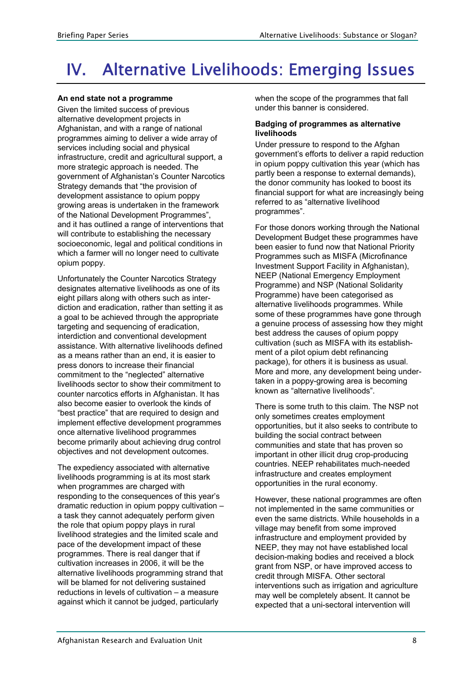# IV. Alternative Livelihoods: Emerging Issues

## **An end state not a programme**

Given the limited success of previous alternative development projects in Afghanistan, and with a range of national programmes aiming to deliver a wide array of services including social and physical infrastructure, credit and agricultural support, a more strategic approach is needed. The government of Afghanistan's Counter Narcotics Strategy demands that "the provision of development assistance to opium poppy growing areas is undertaken in the framework of the National Development Programmes", and it has outlined a range of interventions that will contribute to establishing the necessary socioeconomic, legal and political conditions in which a farmer will no longer need to cultivate opium poppy.

Unfortunately the Counter Narcotics Strategy designates alternative livelihoods as one of its eight pillars along with others such as interdiction and eradication, rather than setting it as a goal to be achieved through the appropriate targeting and sequencing of eradication, interdiction and conventional development assistance. With alternative livelihoods defined as a means rather than an end, it is easier to press donors to increase their financial commitment to the "neglected" alternative livelihoods sector to show their commitment to counter narcotics efforts in Afghanistan. It has also become easier to overlook the kinds of "best practice" that are required to design and implement effective development programmes once alternative livelihood programmes become primarily about achieving drug control objectives and not development outcomes.

The expediency associated with alternative livelihoods programming is at its most stark when programmes are charged with responding to the consequences of this year's dramatic reduction in opium poppy cultivation – a task they cannot adequately perform given the role that opium poppy plays in rural livelihood strategies and the limited scale and pace of the development impact of these programmes. There is real danger that if cultivation increases in 2006, it will be the alternative livelihoods programming strand that will be blamed for not delivering sustained reductions in levels of cultivation – a measure against which it cannot be judged, particularly

when the scope of the programmes that fall under this banner is considered.

### **Badging of programmes as alternative livelihoods**

Under pressure to respond to the Afghan government's efforts to deliver a rapid reduction in opium poppy cultivation this year (which has partly been a response to external demands), the donor community has looked to boost its financial support for what are increasingly being referred to as "alternative livelihood programmes".

For those donors working through the National Development Budget these programmes have been easier to fund now that National Priority Programmes such as MISFA (Microfinance Investment Support Facility in Afghanistan), NEEP (National Emergency Employment Programme) and NSP (National Solidarity Programme) have been categorised as alternative livelihoods programmes. While some of these programmes have gone through a genuine process of assessing how they might best address the causes of opium poppy cultivation (such as MISFA with its establishment of a pilot opium debt refinancing package), for others it is business as usual. More and more, any development being undertaken in a poppy-growing area is becoming known as "alternative livelihoods".

There is some truth to this claim. The NSP not only sometimes creates employment opportunities, but it also seeks to contribute to building the social contract between communities and state that has proven so important in other illicit drug crop-producing countries. NEEP rehabilitates much-needed infrastructure and creates employment opportunities in the rural economy.

However, these national programmes are often not implemented in the same communities or even the same districts. While households in a village may benefit from some improved infrastructure and employment provided by NEEP, they may not have established local decision-making bodies and received a block grant from NSP, or have improved access to credit through MISFA. Other sectoral interventions such as irrigation and agriculture may well be completely absent. It cannot be expected that a uni-sectoral intervention will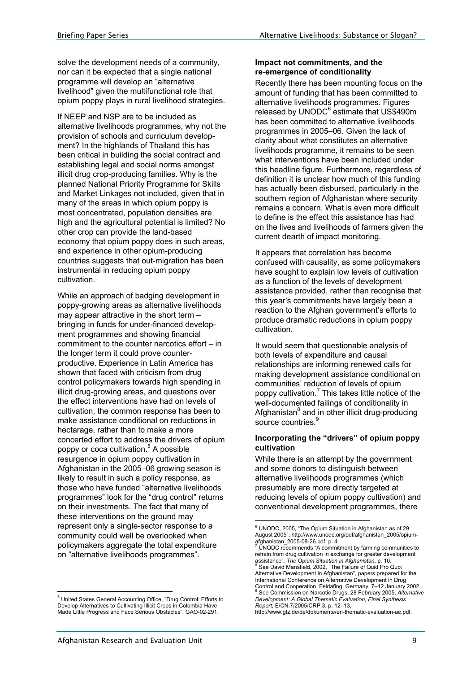solve the development needs of a community, nor can it be expected that a single national programme will develop an "alternative livelihood" given the multifunctional role that opium poppy plays in rural livelihood strategies.

If NEEP and NSP are to be included as alternative livelihoods programmes, why not the provision of schools and curriculum development? In the highlands of Thailand this has been critical in building the social contract and establishing legal and social norms amongst illicit drug crop-producing families. Why is the planned National Priority Programme for Skills and Market Linkages not included, given that in many of the areas in which opium poppy is most concentrated, population densities are high and the agricultural potential is limited? No other crop can provide the land-based economy that opium poppy does in such areas, and experience in other opium-producing countries suggests that out-migration has been instrumental in reducing opium poppy cultivation.

While an approach of badging development in poppy-growing areas as alternative livelihoods may appear attractive in the short term – bringing in funds for under-financed development programmes and showing financial commitment to the counter narcotics effort – in the longer term it could prove counterproductive. Experience in Latin America has shown that faced with criticism from drug control policymakers towards high spending in illicit drug-growing areas, and questions over the effect interventions have had on levels of cultivation, the common response has been to make assistance conditional on reductions in hectarage, rather than to make a more concerted effort to address the drivers of opium poppy or coca cultivation.<sup>5</sup> A possible resurgence in opium poppy cultivation in Afghanistan in the 2005–06 growing season is likely to result in such a policy response, as those who have funded "alternative livelihoods programmes" look for the "drug control" returns on their investments. The fact that many of these interventions on the ground may represent only a single-sector response to a community could well be overlooked when policymakers aggregate the total expenditure on "alternative livelihoods programmes".

### **Impact not commitments, and the re-emergence of conditionality**

Recently there has been mounting focus on the amount of funding that has been committed to alternative livelihoods programmes. Figures released by UNODC<sup>6</sup> estimate that US\$490m has been committed to alternative livelihoods programmes in 2005–06. Given the lack of clarity about what constitutes an alternative livelihoods programme, it remains to be seen what interventions have been included under this headline figure. Furthermore, regardless of definition it is unclear how much of this funding has actually been disbursed, particularly in the southern region of Afghanistan where security remains a concern. What is even more difficult to define is the effect this assistance has had on the lives and livelihoods of farmers given the current dearth of impact monitoring.

It appears that correlation has become confused with causality, as some policymakers have sought to explain low levels of cultivation as a function of the levels of development assistance provided, rather than recognise that this year's commitments have largely been a reaction to the Afghan government's efforts to produce dramatic reductions in opium poppy cultivation.

It would seem that questionable analysis of both levels of expenditure and causal relationships are informing renewed calls for making development assistance conditional on communities' reduction of levels of opium poppy cultivation.<sup>7</sup> This takes little notice of the well-documented failings of conditionality in Afghanistan<sup>8</sup> and in other illicit drug-producing source countries.<sup>9</sup>

### **Incorporating the "drivers" of opium poppy cultivation**

While there is an attempt by the government and some donors to distinguish between alternative livelihoods programmes (which presumably are more directly targeted at reducing levels of opium poppy cultivation) and conventional development programmes, there

 5 United States General Accounting Office, "Drug Control: Efforts to Develop Alternatives to Cultivating Illicit Crops in Colombia Have Made Little Progress and Face Serious Obstacles", GAO-02-291.

<sup>&</sup>lt;sup>6</sup> UNODC, 2005, "The Opium Situation in Afghanistan as of 29 August 2005", http://www.unodc.org/pdf/afghanistan\_2005/opiumafghanistan\_2005-08-26.pdf, p. 4<br><sup>7</sup> UNODC recommends "A commitment by farming communities to

refrain from drug cultivation in exchange for greater development assistance", *The Opium Situation in Afghanistan*, p. 10. 8 <sup>8</sup> See David Mansfield, 2002, "The Failure of Quid Pro Quo: Alternative Development in Afghanistan", papers prepared for the International Conference on Alternative Development in Drug Control and Cooperation, Feldafing, Germany, 7–12 January 2002. 9 See Commission on Narcotic Drugs, 28 February 2005, *Alternative Development: A Global Thematic Evaluation, Final Synthesis Report*, E/CN.7/2005/CRP.3, p. 12–13,

http://www.gtz.de/de/dokumente/en-thematic-evaluation-ae.pdf.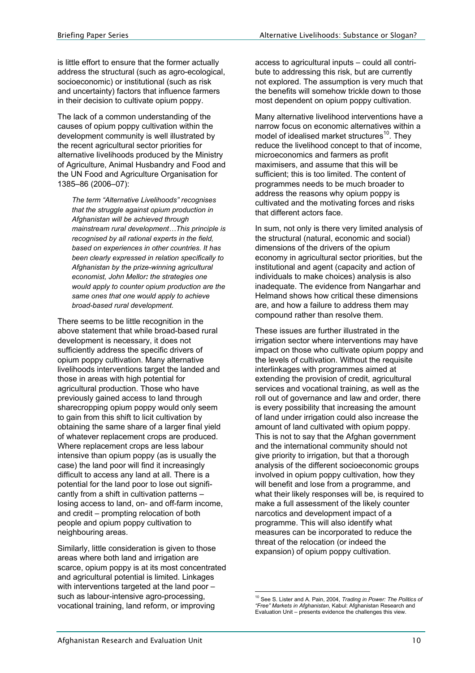is little effort to ensure that the former actually address the structural (such as agro-ecological, socioeconomic) or institutional (such as risk and uncertainty) factors that influence farmers in their decision to cultivate opium poppy.

The lack of a common understanding of the causes of opium poppy cultivation within the development community is well illustrated by the recent agricultural sector priorities for alternative livelihoods produced by the Ministry of Agriculture, Animal Husbandry and Food and the UN Food and Agriculture Organisation for 1385–86 (2006–07):

*The term "Alternative Livelihoods" recognises that the struggle against opium production in Afghanistan will be achieved through mainstream rural development…This principle is recognised by all rational experts in the field, based on experiences in other countries. It has been clearly expressed in relation specifically to Afghanistan by the prize-winning agricultural economist, John Mellor: the strategies one would apply to counter opium production are the same ones that one would apply to achieve broad-based rural development.* 

There seems to be little recognition in the above statement that while broad-based rural development is necessary, it does not sufficiently address the specific drivers of opium poppy cultivation. Many alternative livelihoods interventions target the landed and those in areas with high potential for agricultural production. Those who have previously gained access to land through sharecropping opium poppy would only seem to gain from this shift to licit cultivation by obtaining the same share of a larger final yield of whatever replacement crops are produced. Where replacement crops are less labour intensive than opium poppy (as is usually the case) the land poor will find it increasingly difficult to access any land at all. There is a potential for the land poor to lose out significantly from a shift in cultivation patterns – losing access to land, on- and off-farm income, and credit – prompting relocation of both people and opium poppy cultivation to neighbouring areas.

Similarly, little consideration is given to those areas where both land and irrigation are scarce, opium poppy is at its most concentrated and agricultural potential is limited. Linkages with interventions targeted at the land poor such as labour-intensive agro-processing, vocational training, land reform, or improving

access to agricultural inputs – could all contribute to addressing this risk, but are currently not explored. The assumption is very much that the benefits will somehow trickle down to those most dependent on opium poppy cultivation.

Many alternative livelihood interventions have a narrow focus on economic alternatives within a model of idealised market structures<sup>10</sup>. They reduce the livelihood concept to that of income, microeconomics and farmers as profit maximisers, and assume that this will be sufficient; this is too limited. The content of programmes needs to be much broader to address the reasons why opium poppy is cultivated and the motivating forces and risks that different actors face.

In sum, not only is there very limited analysis of the structural (natural, economic and social) dimensions of the drivers of the opium economy in agricultural sector priorities, but the institutional and agent (capacity and action of individuals to make choices) analysis is also inadequate. The evidence from Nangarhar and Helmand shows how critical these dimensions are, and how a failure to address them may compound rather than resolve them.

These issues are further illustrated in the irrigation sector where interventions may have impact on those who cultivate opium poppy and the levels of cultivation. Without the requisite interlinkages with programmes aimed at extending the provision of credit, agricultural services and vocational training, as well as the roll out of governance and law and order, there is every possibility that increasing the amount of land under irrigation could also increase the amount of land cultivated with opium poppy. This is not to say that the Afghan government and the international community should not give priority to irrigation, but that a thorough analysis of the different socioeconomic groups involved in opium poppy cultivation, how they will benefit and lose from a programme, and what their likely responses will be, is required to make a full assessment of the likely counter narcotics and development impact of a programme. This will also identify what measures can be incorporated to reduce the threat of the relocation (or indeed the expansion) of opium poppy cultivation.

 $\overline{a}$ 10 See S. Lister and A. Pain, 2004, *Trading in Power: The Politics of "Free" Markets in Afghanistan*, Kabul: Afghanistan Research and Evaluation Unit – presents evidence the challenges this view.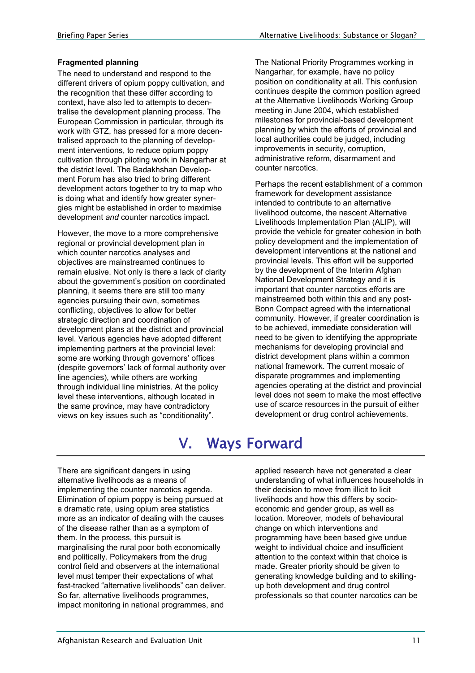## **Fragmented planning**

The need to understand and respond to the different drivers of opium poppy cultivation, and the recognition that these differ according to context, have also led to attempts to decentralise the development planning process. The European Commission in particular, through its work with GTZ, has pressed for a more decentralised approach to the planning of development interventions, to reduce opium poppy cultivation through piloting work in Nangarhar at the district level. The Badakhshan Development Forum has also tried to bring different development actors together to try to map who is doing what and identify how greater synergies might be established in order to maximise development *and* counter narcotics impact.

However, the move to a more comprehensive regional or provincial development plan in which counter narcotics analyses and objectives are mainstreamed continues to remain elusive. Not only is there a lack of clarity about the government's position on coordinated planning, it seems there are still too many agencies pursuing their own, sometimes conflicting, objectives to allow for better strategic direction and coordination of development plans at the district and provincial level. Various agencies have adopted different implementing partners at the provincial level: some are working through governors' offices (despite governors' lack of formal authority over line agencies), while others are working through individual line ministries. At the policy level these interventions, although located in the same province, may have contradictory views on key issues such as "conditionality".

The National Priority Programmes working in Nangarhar, for example, have no policy position on conditionality at all. This confusion continues despite the common position agreed at the Alternative Livelihoods Working Group meeting in June 2004, which established milestones for provincial-based development planning by which the efforts of provincial and local authorities could be judged, including improvements in security, corruption, administrative reform, disarmament and counter narcotics.

Perhaps the recent establishment of a common framework for development assistance intended to contribute to an alternative livelihood outcome, the nascent Alternative Livelihoods Implementation Plan (ALIP), will provide the vehicle for greater cohesion in both policy development and the implementation of development interventions at the national and provincial levels. This effort will be supported by the development of the Interim Afghan National Development Strategy and it is important that counter narcotics efforts are mainstreamed both within this and any post-Bonn Compact agreed with the international community. However, if greater coordination is to be achieved, immediate consideration will need to be given to identifying the appropriate mechanisms for developing provincial and district development plans within a common national framework. The current mosaic of disparate programmes and implementing agencies operating at the district and provincial level does not seem to make the most effective use of scarce resources in the pursuit of either development or drug control achievements.

# V. Ways Forward

There are significant dangers in using alternative livelihoods as a means of implementing the counter narcotics agenda. Elimination of opium poppy is being pursued at a dramatic rate, using opium area statistics more as an indicator of dealing with the causes of the disease rather than as a symptom of them. In the process, this pursuit is marginalising the rural poor both economically and politically. Policymakers from the drug control field and observers at the international level must temper their expectations of what fast-tracked "alternative livelihoods" can deliver. So far, alternative livelihoods programmes, impact monitoring in national programmes, and

applied research have not generated a clear understanding of what influences households in their decision to move from illicit to licit livelihoods and how this differs by socioeconomic and gender group, as well as location. Moreover, models of behavioural change on which interventions and programming have been based give undue weight to individual choice and insufficient attention to the context within that choice is made. Greater priority should be given to generating knowledge building and to skillingup both development and drug control professionals so that counter narcotics can be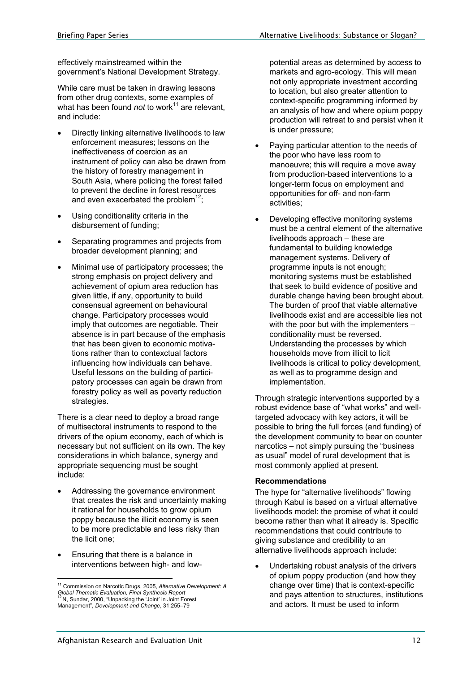effectively mainstreamed within the government's National Development Strategy.

While care must be taken in drawing lessons from other drug contexts, some examples of what has been found *not* to work<sup>11</sup> are relevant. and include:

- Directly linking alternative livelihoods to law enforcement measures; lessons on the ineffectiveness of coercion as an instrument of policy can also be drawn from the history of forestry management in South Asia, where policing the forest failed to prevent the decline in forest resources and even exacerbated the problem<sup>12</sup>:
- Using conditionality criteria in the disbursement of funding;
- Separating programmes and projects from broader development planning; and
- Minimal use of participatory processes; the strong emphasis on project delivery and achievement of opium area reduction has given little, if any, opportunity to build consensual agreement on behavioural change. Participatory processes would imply that outcomes are negotiable. Their absence is in part because of the emphasis that has been given to economic motivations rather than to contexctual factors influencing how individuals can behave. Useful lessons on the building of participatory processes can again be drawn from forestry policy as well as poverty reduction strategies.

There is a clear need to deploy a broad range of multisectoral instruments to respond to the drivers of the opium economy, each of which is necessary but not sufficient on its own. The key considerations in which balance, synergy and appropriate sequencing must be sought include:

- Addressing the governance environment that creates the risk and uncertainty making it rational for households to grow opium poppy because the illicit economy is seen to be more predictable and less risky than the licit one;
- Ensuring that there is a balance in interventions between high- and low-

 $\overline{a}$ 

potential areas as determined by access to markets and agro-ecology. This will mean not only appropriate investment according to location, but also greater attention to context-specific programming informed by an analysis of how and where opium poppy production will retreat to and persist when it is under pressure;

- Paying particular attention to the needs of the poor who have less room to manoeuvre; this will require a move away from production-based interventions to a longer-term focus on employment and opportunities for off- and non-farm activities;
- Developing effective monitoring systems must be a central element of the alternative livelihoods approach – these are fundamental to building knowledge management systems. Delivery of programme inputs is not enough; monitoring systems must be established that seek to build evidence of positive and durable change having been brought about. The burden of proof that viable alternative livelihoods exist and are accessible lies not with the poor but with the implementers conditionality must be reversed. Understanding the processes by which households move from illicit to licit livelihoods is critical to policy development, as well as to programme design and implementation.

Through strategic interventions supported by a robust evidence base of "what works" and welltargeted advocacy with key actors, it will be possible to bring the full forces (and funding) of the development community to bear on counter narcotics – not simply pursuing the "business as usual" model of rural development that is most commonly applied at present.

### **Recommendations**

The hype for "alternative livelihoods" flowing through Kabul is based on a virtual alternative livelihoods model: the promise of what it could become rather than what it already is. Specific recommendations that could contribute to giving substance and credibility to an alternative livelihoods approach include:

• Undertaking robust analysis of the drivers of opium poppy production (and how they change over time) that is context-specific and pays attention to structures, institutions and actors. It must be used to inform

<sup>11</sup> Commission on Narcotic Drugs, 2005, *Alternative Development: A Global Thematic Evaluation, Final Synthesis Report* 12 N, Sundar, 2000, "Unpacking the 'Joint' in Joint Forest Management", *Development and Change*, 31:255–79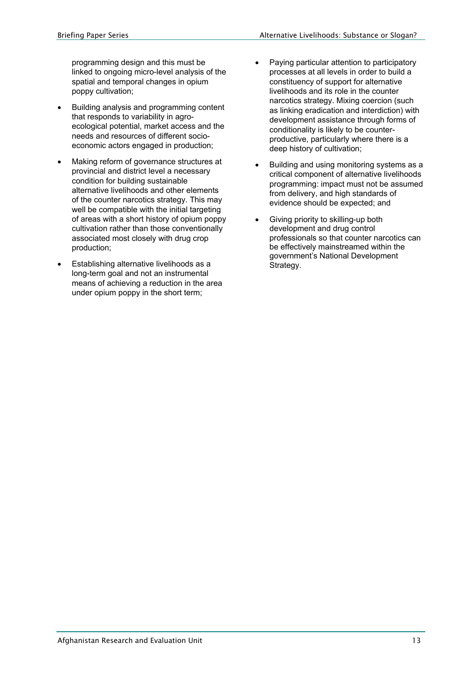programming design and this must be linked to ongoing micro-level analysis of the spatial and temporal changes in opium poppy cultivation;

- Building analysis and programming content that responds to variability in agroecological potential, market access and the needs and resources of different socioeconomic actors engaged in production;
- Making reform of governance structures at provincial and district level a necessary condition for building sustainable alternative livelihoods and other elements of the counter narcotics strategy. This may well be compatible with the initial targeting of areas with a short history of opium poppy cultivation rather than those conventionally associated most closely with drug crop production;
- Establishing alternative livelihoods as a long-term goal and not an instrumental means of achieving a reduction in the area under opium poppy in the short term;
- Paying particular attention to participatory processes at all levels in order to build a constituency of support for alternative livelihoods and its role in the counter narcotics strategy. Mixing coercion (such as linking eradication and interdiction) with development assistance through forms of conditionality is likely to be counterproductive, particularly where there is a deep history of cultivation;
- Building and using monitoring systems as a critical component of alternative livelihoods programming: impact must not be assumed from delivery, and high standards of evidence should be expected; and
- Giving priority to skilling-up both development and drug control professionals so that counter narcotics can be effectively mainstreamed within the government's National Development Strategy.